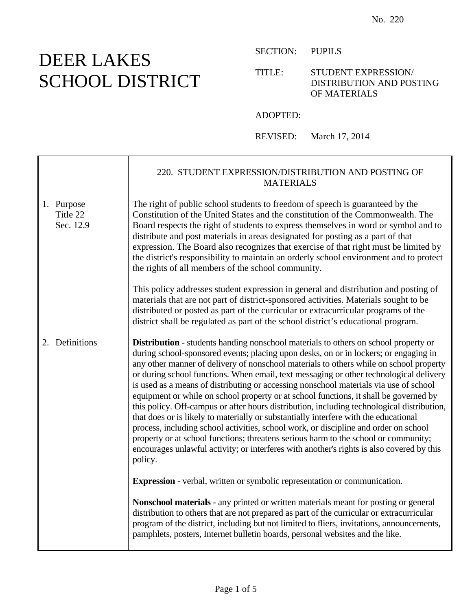## DEER LAKES SCHOOL DISTRICT

Ē

SECTION: PUPILS

## TITLE: STUDENT EXPRESSION/ DISTRIBUTION AND POSTING OF MATERIALS

ADOPTED:

REVISED: March 17, 2014

|                                     | 220. STUDENT EXPRESSION/DISTRIBUTION AND POSTING OF<br><b>MATERIALS</b>                                                                                                                                                                                                                                                                                                                                                                                                                                                                                                                                                                                                                                                                                                                                                                                                                                                                                                                                                               |
|-------------------------------------|---------------------------------------------------------------------------------------------------------------------------------------------------------------------------------------------------------------------------------------------------------------------------------------------------------------------------------------------------------------------------------------------------------------------------------------------------------------------------------------------------------------------------------------------------------------------------------------------------------------------------------------------------------------------------------------------------------------------------------------------------------------------------------------------------------------------------------------------------------------------------------------------------------------------------------------------------------------------------------------------------------------------------------------|
| 1. Purpose<br>Title 22<br>Sec. 12.9 | The right of public school students to freedom of speech is guaranteed by the<br>Constitution of the United States and the constitution of the Commonwealth. The<br>Board respects the right of students to express themselves in word or symbol and to<br>distribute and post materials in areas designated for posting as a part of that<br>expression. The Board also recognizes that exercise of that right must be limited by<br>the district's responsibility to maintain an orderly school environment and to protect<br>the rights of all members of the school community.                                                                                                                                                                                                                                                                                                                                                                                                                                                    |
|                                     | This policy addresses student expression in general and distribution and posting of<br>materials that are not part of district-sponsored activities. Materials sought to be<br>distributed or posted as part of the curricular or extracurricular programs of the<br>district shall be regulated as part of the school district's educational program.                                                                                                                                                                                                                                                                                                                                                                                                                                                                                                                                                                                                                                                                                |
| 2. Definitions                      | <b>Distribution</b> - students handing nonschool materials to others on school property or<br>during school-sponsored events; placing upon desks, on or in lockers; or engaging in<br>any other manner of delivery of nonschool materials to others while on school property<br>or during school functions. When email, text messaging or other technological delivery<br>is used as a means of distributing or accessing nonschool materials via use of school<br>equipment or while on school property or at school functions, it shall be governed by<br>this policy. Off-campus or after hours distribution, including technological distribution,<br>that does or is likely to materially or substantially interfere with the educational<br>process, including school activities, school work, or discipline and order on school<br>property or at school functions; threatens serious harm to the school or community;<br>encourages unlawful activity; or interferes with another's rights is also covered by this<br>policy. |
|                                     | <b>Expression</b> - verbal, written or symbolic representation or communication.                                                                                                                                                                                                                                                                                                                                                                                                                                                                                                                                                                                                                                                                                                                                                                                                                                                                                                                                                      |
|                                     | Nonschool materials - any printed or written materials meant for posting or general<br>distribution to others that are not prepared as part of the curricular or extracurricular<br>program of the district, including but not limited to fliers, invitations, announcements,<br>pamphlets, posters, Internet bulletin boards, personal websites and the like.                                                                                                                                                                                                                                                                                                                                                                                                                                                                                                                                                                                                                                                                        |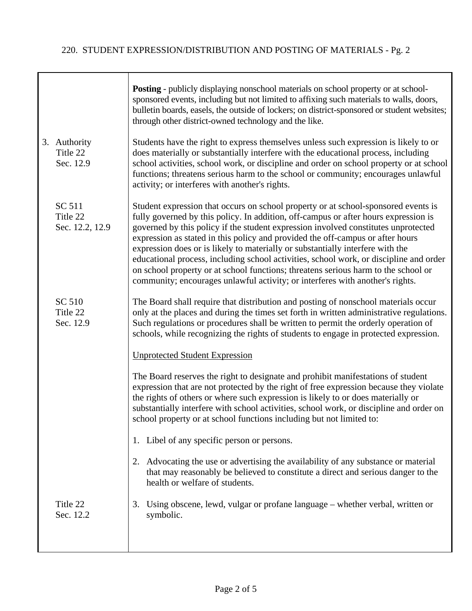Τ

|                                       | <b>Posting</b> - publicly displaying nonschool materials on school property or at school-<br>sponsored events, including but not limited to affixing such materials to walls, doors,<br>bulletin boards, easels, the outside of lockers; on district-sponsored or student websites;<br>through other district-owned technology and the like.                                                                                                                                                                                                                                                                                                                                                         |
|---------------------------------------|------------------------------------------------------------------------------------------------------------------------------------------------------------------------------------------------------------------------------------------------------------------------------------------------------------------------------------------------------------------------------------------------------------------------------------------------------------------------------------------------------------------------------------------------------------------------------------------------------------------------------------------------------------------------------------------------------|
| 3. Authority<br>Title 22<br>Sec. 12.9 | Students have the right to express themselves unless such expression is likely to or<br>does materially or substantially interfere with the educational process, including<br>school activities, school work, or discipline and order on school property or at school<br>functions; threatens serious harm to the school or community; encourages unlawful<br>activity; or interferes with another's rights.                                                                                                                                                                                                                                                                                         |
| SC 511<br>Title 22<br>Sec. 12.2, 12.9 | Student expression that occurs on school property or at school-sponsored events is<br>fully governed by this policy. In addition, off-campus or after hours expression is<br>governed by this policy if the student expression involved constitutes unprotected<br>expression as stated in this policy and provided the off-campus or after hours<br>expression does or is likely to materially or substantially interfere with the<br>educational process, including school activities, school work, or discipline and order<br>on school property or at school functions; threatens serious harm to the school or<br>community; encourages unlawful activity; or interferes with another's rights. |
| SC 510<br>Title 22<br>Sec. 12.9       | The Board shall require that distribution and posting of nonschool materials occur<br>only at the places and during the times set forth in written administrative regulations.<br>Such regulations or procedures shall be written to permit the orderly operation of<br>schools, while recognizing the rights of students to engage in protected expression.                                                                                                                                                                                                                                                                                                                                         |
|                                       | <b>Unprotected Student Expression</b>                                                                                                                                                                                                                                                                                                                                                                                                                                                                                                                                                                                                                                                                |
|                                       | The Board reserves the right to designate and prohibit manifestations of student<br>expression that are not protected by the right of free expression because they violate<br>the rights of others or where such expression is likely to or does materially or<br>substantially interfere with school activities, school work, or discipline and order on<br>school property or at school functions including but not limited to:                                                                                                                                                                                                                                                                    |
|                                       | 1. Libel of any specific person or persons.                                                                                                                                                                                                                                                                                                                                                                                                                                                                                                                                                                                                                                                          |
|                                       | 2. Advocating the use or advertising the availability of any substance or material<br>that may reasonably be believed to constitute a direct and serious danger to the<br>health or welfare of students.                                                                                                                                                                                                                                                                                                                                                                                                                                                                                             |
| Title 22<br>Sec. 12.2                 | 3. Using obscene, lewd, vulgar or profane language - whether verbal, written or<br>symbolic.                                                                                                                                                                                                                                                                                                                                                                                                                                                                                                                                                                                                         |
|                                       |                                                                                                                                                                                                                                                                                                                                                                                                                                                                                                                                                                                                                                                                                                      |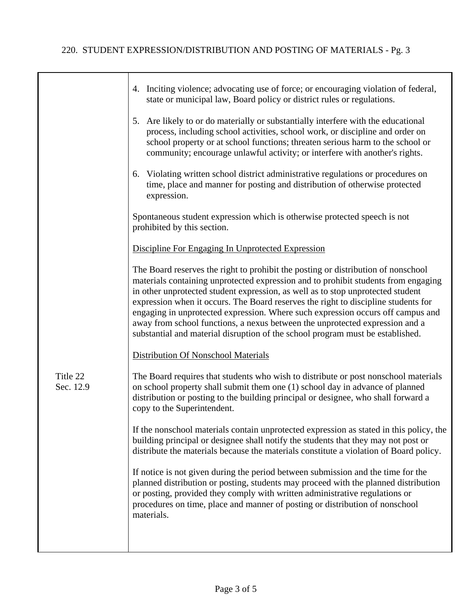|                       | 4. Inciting violence; advocating use of force; or encouraging violation of federal,                                                                                                                                                                                                                                                                                                                                                                                                                                                                                                                   |
|-----------------------|-------------------------------------------------------------------------------------------------------------------------------------------------------------------------------------------------------------------------------------------------------------------------------------------------------------------------------------------------------------------------------------------------------------------------------------------------------------------------------------------------------------------------------------------------------------------------------------------------------|
|                       | state or municipal law, Board policy or district rules or regulations.                                                                                                                                                                                                                                                                                                                                                                                                                                                                                                                                |
|                       | 5. Are likely to or do materially or substantially interfere with the educational<br>process, including school activities, school work, or discipline and order on<br>school property or at school functions; threaten serious harm to the school or<br>community; encourage unlawful activity; or interfere with another's rights.                                                                                                                                                                                                                                                                   |
|                       | 6. Violating written school district administrative regulations or procedures on<br>time, place and manner for posting and distribution of otherwise protected<br>expression.                                                                                                                                                                                                                                                                                                                                                                                                                         |
|                       | Spontaneous student expression which is otherwise protected speech is not<br>prohibited by this section.                                                                                                                                                                                                                                                                                                                                                                                                                                                                                              |
|                       | Discipline For Engaging In Unprotected Expression                                                                                                                                                                                                                                                                                                                                                                                                                                                                                                                                                     |
|                       | The Board reserves the right to prohibit the posting or distribution of nonschool<br>materials containing unprotected expression and to prohibit students from engaging<br>in other unprotected student expression, as well as to stop unprotected student<br>expression when it occurs. The Board reserves the right to discipline students for<br>engaging in unprotected expression. Where such expression occurs off campus and<br>away from school functions, a nexus between the unprotected expression and a<br>substantial and material disruption of the school program must be established. |
|                       | <b>Distribution Of Nonschool Materials</b>                                                                                                                                                                                                                                                                                                                                                                                                                                                                                                                                                            |
| Title 22<br>Sec. 12.9 | The Board requires that students who wish to distribute or post nonschool materials<br>on school property shall submit them one (1) school day in advance of planned<br>distribution or posting to the building principal or designee, who shall forward a<br>copy to the Superintendent.                                                                                                                                                                                                                                                                                                             |
|                       | If the nonschool materials contain unprotected expression as stated in this policy, the<br>building principal or designee shall notify the students that they may not post or<br>distribute the materials because the materials constitute a violation of Board policy.                                                                                                                                                                                                                                                                                                                               |
|                       | If notice is not given during the period between submission and the time for the<br>planned distribution or posting, students may proceed with the planned distribution<br>or posting, provided they comply with written administrative regulations or<br>procedures on time, place and manner of posting or distribution of nonschool<br>materials.                                                                                                                                                                                                                                                  |
|                       |                                                                                                                                                                                                                                                                                                                                                                                                                                                                                                                                                                                                       |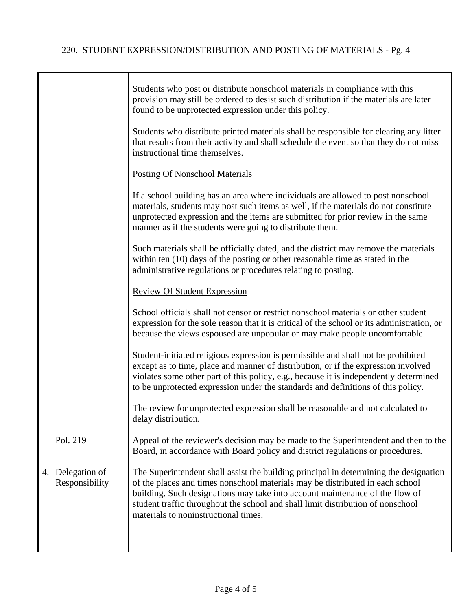|    |                                 | Students who post or distribute nonschool materials in compliance with this<br>provision may still be ordered to desist such distribution if the materials are later<br>found to be unprotected expression under this policy.                                                                                                                                                     |
|----|---------------------------------|-----------------------------------------------------------------------------------------------------------------------------------------------------------------------------------------------------------------------------------------------------------------------------------------------------------------------------------------------------------------------------------|
|    |                                 | Students who distribute printed materials shall be responsible for clearing any litter<br>that results from their activity and shall schedule the event so that they do not miss<br>instructional time themselves.                                                                                                                                                                |
|    |                                 | <b>Posting Of Nonschool Materials</b>                                                                                                                                                                                                                                                                                                                                             |
|    |                                 | If a school building has an area where individuals are allowed to post nonschool<br>materials, students may post such items as well, if the materials do not constitute<br>unprotected expression and the items are submitted for prior review in the same<br>manner as if the students were going to distribute them.                                                            |
|    |                                 | Such materials shall be officially dated, and the district may remove the materials<br>within ten (10) days of the posting or other reasonable time as stated in the<br>administrative regulations or procedures relating to posting.                                                                                                                                             |
|    |                                 | <b>Review Of Student Expression</b>                                                                                                                                                                                                                                                                                                                                               |
|    |                                 | School officials shall not censor or restrict nonschool materials or other student<br>expression for the sole reason that it is critical of the school or its administration, or<br>because the views espoused are unpopular or may make people uncomfortable.                                                                                                                    |
|    |                                 | Student-initiated religious expression is permissible and shall not be prohibited<br>except as to time, place and manner of distribution, or if the expression involved<br>violates some other part of this policy, e.g., because it is independently determined<br>to be unprotected expression under the standards and definitions of this policy.                              |
|    |                                 | The review for unprotected expression shall be reasonable and not calculated to<br>delay distribution.                                                                                                                                                                                                                                                                            |
|    | Pol. 219                        | Appeal of the reviewer's decision may be made to the Superintendent and then to the<br>Board, in accordance with Board policy and district regulations or procedures.                                                                                                                                                                                                             |
| 4. | Delegation of<br>Responsibility | The Superintendent shall assist the building principal in determining the designation<br>of the places and times nonschool materials may be distributed in each school<br>building. Such designations may take into account maintenance of the flow of<br>student traffic throughout the school and shall limit distribution of nonschool<br>materials to noninstructional times. |
|    |                                 |                                                                                                                                                                                                                                                                                                                                                                                   |